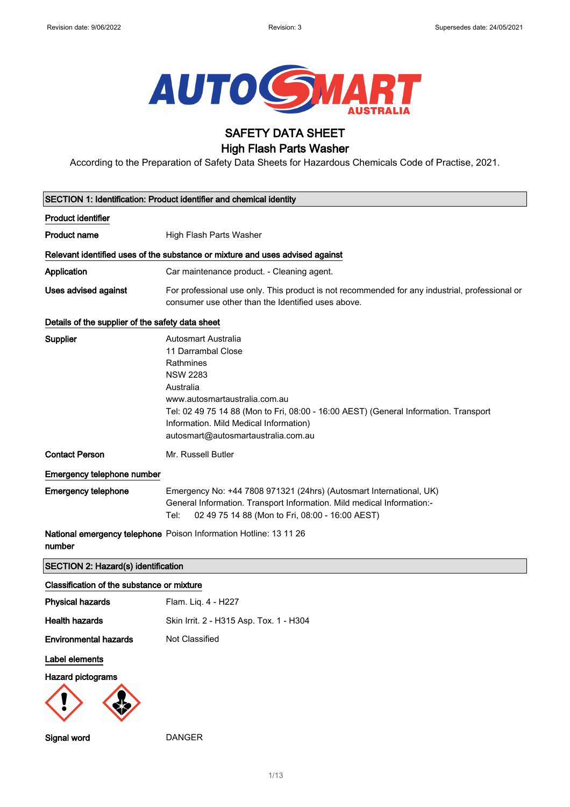

# SAFETY DATA SHEET

# High Flash Parts Washer

According to the Preparation of Safety Data Sheets for Hazardous Chemicals Code of Practise, 2021.

|                                                  | SECTION 1: Identification: Product identifier and chemical identity                                                                                                                                                                                                                                     |
|--------------------------------------------------|---------------------------------------------------------------------------------------------------------------------------------------------------------------------------------------------------------------------------------------------------------------------------------------------------------|
| <b>Product identifier</b>                        |                                                                                                                                                                                                                                                                                                         |
| <b>Product name</b>                              | High Flash Parts Washer                                                                                                                                                                                                                                                                                 |
|                                                  | Relevant identified uses of the substance or mixture and uses advised against                                                                                                                                                                                                                           |
| Application                                      | Car maintenance product. - Cleaning agent.                                                                                                                                                                                                                                                              |
| Uses advised against                             | For professional use only. This product is not recommended for any industrial, professional or<br>consumer use other than the Identified uses above.                                                                                                                                                    |
| Details of the supplier of the safety data sheet |                                                                                                                                                                                                                                                                                                         |
| Supplier                                         | <b>Autosmart Australia</b><br>11 Darrambal Close<br>Rathmines<br><b>NSW 2283</b><br>Australia<br>www.autosmartaustralia.com.au<br>Tel: 02 49 75 14 88 (Mon to Fri, 08:00 - 16:00 AEST) (General Information. Transport<br>Information. Mild Medical Information)<br>autosmart@autosmartaustralia.com.au |
| <b>Contact Person</b>                            | Mr. Russell Butler                                                                                                                                                                                                                                                                                      |
| Emergency telephone number                       |                                                                                                                                                                                                                                                                                                         |
| <b>Emergency telephone</b>                       | Emergency No: +44 7808 971321 (24hrs) (Autosmart International, UK)<br>General Information. Transport Information. Mild medical Information:-<br>02 49 75 14 88 (Mon to Fri, 08:00 - 16:00 AEST)<br>Tel:                                                                                                |
| number                                           | National emergency telephone Poison Information Hotline: 13 11 26                                                                                                                                                                                                                                       |
| SECTION 2: Hazard(s) identification              |                                                                                                                                                                                                                                                                                                         |
| Classification of the substance or mixture       |                                                                                                                                                                                                                                                                                                         |
| <b>Physical hazards</b>                          | Flam. Liq. 4 - H227                                                                                                                                                                                                                                                                                     |
| <b>Health hazards</b>                            | Skin Irrit. 2 - H315 Asp. Tox. 1 - H304                                                                                                                                                                                                                                                                 |
| <b>Environmental hazards</b>                     | Not Classified                                                                                                                                                                                                                                                                                          |
| Label elements                                   |                                                                                                                                                                                                                                                                                                         |
| Hazard pictograms                                |                                                                                                                                                                                                                                                                                                         |
| Signal word                                      | <b>DANGER</b>                                                                                                                                                                                                                                                                                           |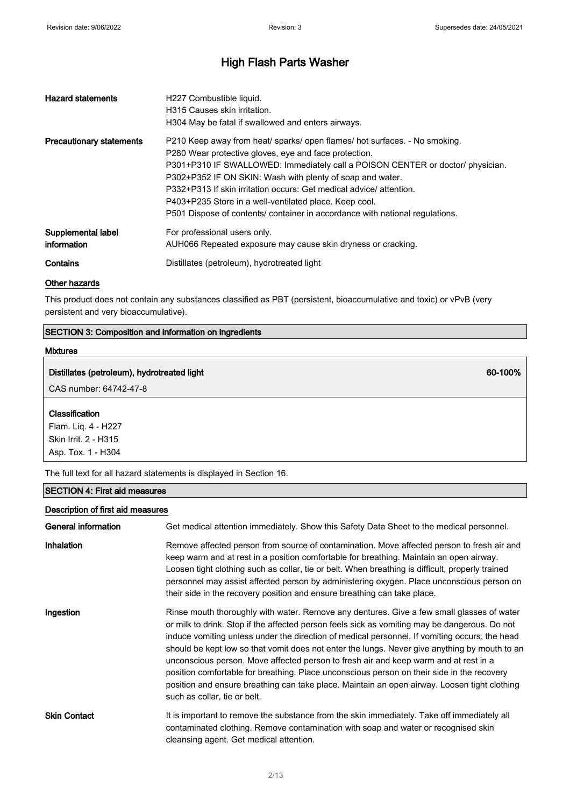| <b>Hazard statements</b>          | H227 Combustible liquid.<br>H315 Causes skin irritation.<br>H304 May be fatal if swallowed and enters airways.                                                                                                                                                                                                                                                                                                                                                                                     |
|-----------------------------------|----------------------------------------------------------------------------------------------------------------------------------------------------------------------------------------------------------------------------------------------------------------------------------------------------------------------------------------------------------------------------------------------------------------------------------------------------------------------------------------------------|
| <b>Precautionary statements</b>   | P210 Keep away from heat/ sparks/ open flames/ hot surfaces. - No smoking.<br>P280 Wear protective gloves, eye and face protection.<br>P301+P310 IF SWALLOWED: Immediately call a POISON CENTER or doctor/ physician.<br>P302+P352 IF ON SKIN: Wash with plenty of soap and water.<br>P332+P313 If skin irritation occurs: Get medical advice/attention.<br>P403+P235 Store in a well-ventilated place. Keep cool.<br>P501 Dispose of contents/ container in accordance with national regulations. |
| Supplemental label<br>information | For professional users only.<br>AUH066 Repeated exposure may cause skin dryness or cracking.                                                                                                                                                                                                                                                                                                                                                                                                       |
| Contains                          | Distillates (petroleum), hydrotreated light                                                                                                                                                                                                                                                                                                                                                                                                                                                        |

#### Other hazards

This product does not contain any substances classified as PBT (persistent, bioaccumulative and toxic) or vPvB (very persistent and very bioaccumulative).

### SECTION 3: Composition and information on ingredients

#### Mixtures

### Distillates (petroleum), hydrotreated light 60-100% and the control of the control of the control of the control of the control of the control of the control of the control of the control of the control of the control of t

CAS number: 64742-47-8

#### Classification

Flam. Liq. 4 - H227 Skin Irrit. 2 - H315 Asp. Tox. 1 - H304

The full text for all hazard statements is displayed in Section 16.

### SECTION 4: First aid measures

### Description of first aid measures

| General information | Get medical attention immediately. Show this Safety Data Sheet to the medical personnel.                                                                                                                                                                                                                                                                                                                                                                                                                                                                                                                                                                                                                           |
|---------------------|--------------------------------------------------------------------------------------------------------------------------------------------------------------------------------------------------------------------------------------------------------------------------------------------------------------------------------------------------------------------------------------------------------------------------------------------------------------------------------------------------------------------------------------------------------------------------------------------------------------------------------------------------------------------------------------------------------------------|
| Inhalation          | Remove affected person from source of contamination. Move affected person to fresh air and<br>keep warm and at rest in a position comfortable for breathing. Maintain an open airway.<br>Loosen tight clothing such as collar, tie or belt. When breathing is difficult, properly trained<br>personnel may assist affected person by administering oxygen. Place unconscious person on<br>their side in the recovery position and ensure breathing can take place.                                                                                                                                                                                                                                                 |
| Ingestion           | Rinse mouth thoroughly with water. Remove any dentures. Give a few small glasses of water<br>or milk to drink. Stop if the affected person feels sick as vomiting may be dangerous. Do not<br>induce vomiting unless under the direction of medical personnel. If vomiting occurs, the head<br>should be kept low so that vomit does not enter the lungs. Never give anything by mouth to an<br>unconscious person. Move affected person to fresh air and keep warm and at rest in a<br>position comfortable for breathing. Place unconscious person on their side in the recovery<br>position and ensure breathing can take place. Maintain an open airway. Loosen tight clothing<br>such as collar, tie or belt. |
| <b>Skin Contact</b> | It is important to remove the substance from the skin immediately. Take off immediately all<br>contaminated clothing. Remove contamination with soap and water or recognised skin<br>cleansing agent. Get medical attention.                                                                                                                                                                                                                                                                                                                                                                                                                                                                                       |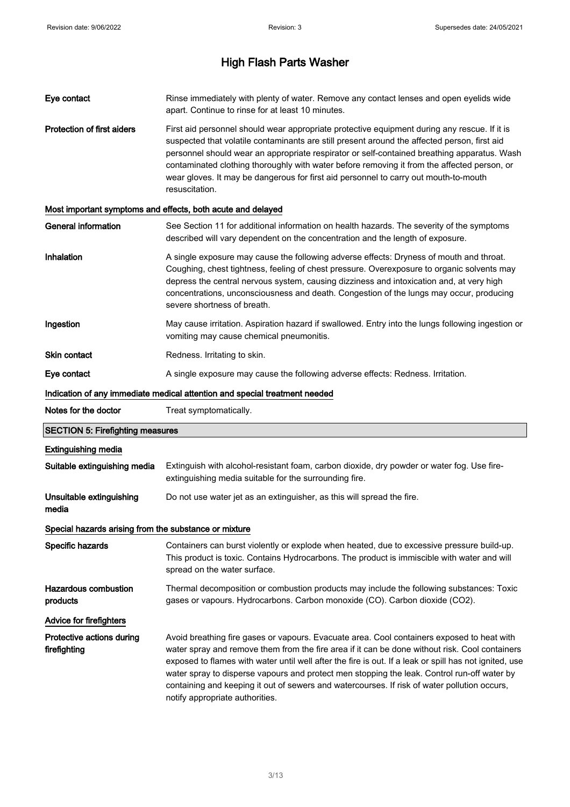| Eye contact                                           | Rinse immediately with plenty of water. Remove any contact lenses and open eyelids wide<br>apart. Continue to rinse for at least 10 minutes.                                                                                                                                                                                                                                                                                                                                                         |
|-------------------------------------------------------|------------------------------------------------------------------------------------------------------------------------------------------------------------------------------------------------------------------------------------------------------------------------------------------------------------------------------------------------------------------------------------------------------------------------------------------------------------------------------------------------------|
| <b>Protection of first aiders</b>                     | First aid personnel should wear appropriate protective equipment during any rescue. If it is<br>suspected that volatile contaminants are still present around the affected person, first aid<br>personnel should wear an appropriate respirator or self-contained breathing apparatus. Wash<br>contaminated clothing thoroughly with water before removing it from the affected person, or<br>wear gloves. It may be dangerous for first aid personnel to carry out mouth-to-mouth<br>resuscitation. |
|                                                       | Most important symptoms and effects, both acute and delayed                                                                                                                                                                                                                                                                                                                                                                                                                                          |
| <b>General information</b>                            | See Section 11 for additional information on health hazards. The severity of the symptoms<br>described will vary dependent on the concentration and the length of exposure.                                                                                                                                                                                                                                                                                                                          |
| Inhalation                                            | A single exposure may cause the following adverse effects: Dryness of mouth and throat.<br>Coughing, chest tightness, feeling of chest pressure. Overexposure to organic solvents may<br>depress the central nervous system, causing dizziness and intoxication and, at very high<br>concentrations, unconsciousness and death. Congestion of the lungs may occur, producing<br>severe shortness of breath.                                                                                          |
| Ingestion                                             | May cause irritation. Aspiration hazard if swallowed. Entry into the lungs following ingestion or<br>vomiting may cause chemical pneumonitis.                                                                                                                                                                                                                                                                                                                                                        |
| Skin contact                                          | Redness. Irritating to skin.                                                                                                                                                                                                                                                                                                                                                                                                                                                                         |
| Eye contact                                           | A single exposure may cause the following adverse effects: Redness. Irritation.                                                                                                                                                                                                                                                                                                                                                                                                                      |
|                                                       | Indication of any immediate medical attention and special treatment needed                                                                                                                                                                                                                                                                                                                                                                                                                           |
|                                                       |                                                                                                                                                                                                                                                                                                                                                                                                                                                                                                      |
| Notes for the doctor                                  | Treat symptomatically.                                                                                                                                                                                                                                                                                                                                                                                                                                                                               |
| <b>SECTION 5: Firefighting measures</b>               |                                                                                                                                                                                                                                                                                                                                                                                                                                                                                                      |
| <b>Extinguishing media</b>                            |                                                                                                                                                                                                                                                                                                                                                                                                                                                                                                      |
| Suitable extinguishing media                          | Extinguish with alcohol-resistant foam, carbon dioxide, dry powder or water fog. Use fire-<br>extinguishing media suitable for the surrounding fire.                                                                                                                                                                                                                                                                                                                                                 |
| Unsuitable extinguishing<br>media                     | Do not use water jet as an extinguisher, as this will spread the fire.                                                                                                                                                                                                                                                                                                                                                                                                                               |
| Special hazards arising from the substance or mixture |                                                                                                                                                                                                                                                                                                                                                                                                                                                                                                      |
| Specific hazards                                      | Containers can burst violently or explode when heated, due to excessive pressure build-up.<br>This product is toxic. Contains Hydrocarbons. The product is immiscible with water and will<br>spread on the water surface.                                                                                                                                                                                                                                                                            |
| <b>Hazardous combustion</b><br>products               | Thermal decomposition or combustion products may include the following substances: Toxic<br>gases or vapours. Hydrocarbons. Carbon monoxide (CO). Carbon dioxide (CO2).                                                                                                                                                                                                                                                                                                                              |
| <b>Advice for firefighters</b>                        |                                                                                                                                                                                                                                                                                                                                                                                                                                                                                                      |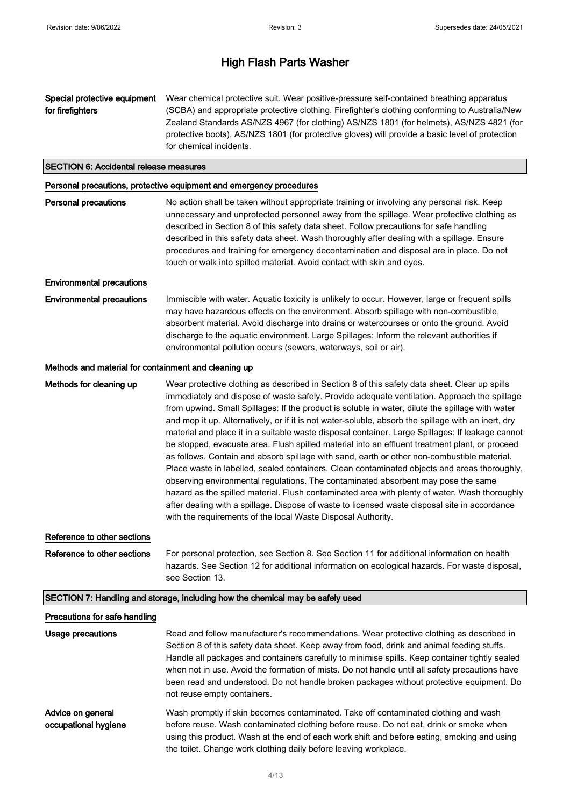Special protective equipment for firefighters Wear chemical protective suit. Wear positive-pressure self-contained breathing apparatus (SCBA) and appropriate protective clothing. Firefighter's clothing conforming to Australia/New Zealand Standards AS/NZS 4967 (for clothing) AS/NZS 1801 (for helmets), AS/NZS 4821 (for protective boots), AS/NZS 1801 (for protective gloves) will provide a basic level of protection for chemical incidents.

#### SECTION 6: Accidental release measures

#### Personal precautions, protective equipment and emergency procedures

| <b>Personal precautions</b> | No action shall be taken without appropriate training or involving any personal risk. Keep |
|-----------------------------|--------------------------------------------------------------------------------------------|
|                             | unnecessary and unprotected personnel away from the spillage. Wear protective clothing as  |
|                             | described in Section 8 of this safety data sheet. Follow precautions for safe handling     |
|                             | described in this safety data sheet. Wash thoroughly after dealing with a spillage. Ensure |
|                             | procedures and training for emergency decontamination and disposal are in place. Do not    |
|                             | touch or walk into spilled material. Avoid contact with skin and eyes.                     |
|                             |                                                                                            |

### Environmental precautions

Environmental precautions Immiscible with water. Aquatic toxicity is unlikely to occur. However, large or frequent spills may have hazardous effects on the environment. Absorb spillage with non-combustible, absorbent material. Avoid discharge into drains or watercourses or onto the ground. Avoid discharge to the aquatic environment. Large Spillages: Inform the relevant authorities if environmental pollution occurs (sewers, waterways, soil or air).

#### Methods and material for containment and cleaning up

Methods for cleaning up Wear protective clothing as described in Section 8 of this safety data sheet. Clear up spills immediately and dispose of waste safely. Provide adequate ventilation. Approach the spillage from upwind. Small Spillages: If the product is soluble in water, dilute the spillage with water and mop it up. Alternatively, or if it is not water-soluble, absorb the spillage with an inert, dry material and place it in a suitable waste disposal container. Large Spillages: If leakage cannot be stopped, evacuate area. Flush spilled material into an effluent treatment plant, or proceed as follows. Contain and absorb spillage with sand, earth or other non-combustible material. Place waste in labelled, sealed containers. Clean contaminated objects and areas thoroughly, observing environmental regulations. The contaminated absorbent may pose the same hazard as the spilled material. Flush contaminated area with plenty of water. Wash thoroughly after dealing with a spillage. Dispose of waste to licensed waste disposal site in accordance with the requirements of the local Waste Disposal Authority.

#### Reference to other sections

Reference to other sections For personal protection, see Section 8. See Section 11 for additional information on health hazards. See Section 12 for additional information on ecological hazards. For waste disposal, see Section 13.

#### SECTION 7: Handling and storage, including how the chemical may be safely used

#### Precautions for safe handling

| Usage precautions                         | Read and follow manufacturer's recommendations. Wear protective clothing as described in<br>Section 8 of this safety data sheet. Keep away from food, drink and animal feeding stuffs.<br>Handle all packages and containers carefully to minimise spills. Keep container tightly sealed<br>when not in use. Avoid the formation of mists. Do not handle until all safety precautions have<br>been read and understood. Do not handle broken packages without protective equipment. Do<br>not reuse empty containers. |
|-------------------------------------------|-----------------------------------------------------------------------------------------------------------------------------------------------------------------------------------------------------------------------------------------------------------------------------------------------------------------------------------------------------------------------------------------------------------------------------------------------------------------------------------------------------------------------|
| Advice on general<br>occupational hygiene | Wash promptly if skin becomes contaminated. Take off contaminated clothing and wash<br>before reuse. Wash contaminated clothing before reuse. Do not eat, drink or smoke when<br>using this product. Wash at the end of each work shift and before eating, smoking and using<br>the toilet. Change work clothing daily before leaving workplace.                                                                                                                                                                      |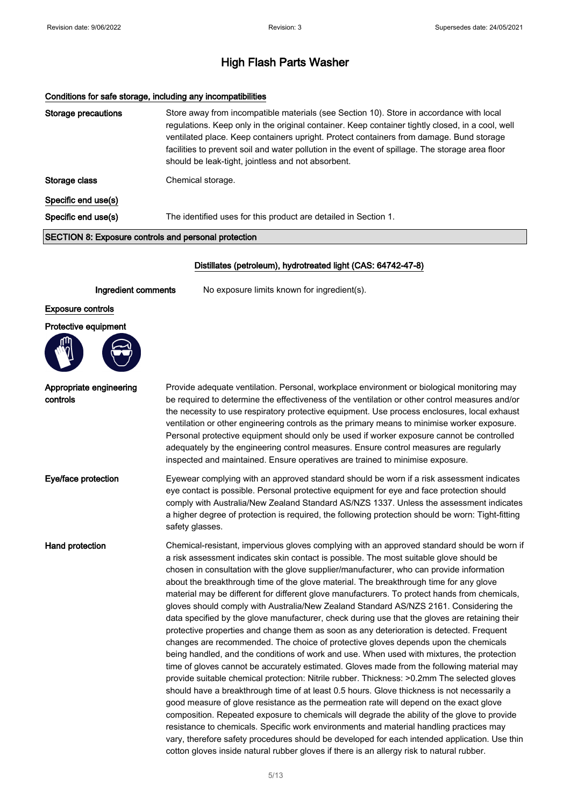#### Conditions for safe storage, including any incompatibilities

| <b>Storage precautions</b> | Store away from incompatible materials (see Section 10). Store in accordance with local<br>regulations. Keep only in the original container. Keep container tightly closed, in a cool, well<br>ventilated place. Keep containers upright. Protect containers from damage. Bund storage<br>facilities to prevent soil and water pollution in the event of spillage. The storage area floor<br>should be leak-tight, jointless and not absorbent. |
|----------------------------|-------------------------------------------------------------------------------------------------------------------------------------------------------------------------------------------------------------------------------------------------------------------------------------------------------------------------------------------------------------------------------------------------------------------------------------------------|
| Storage class              | Chemical storage.                                                                                                                                                                                                                                                                                                                                                                                                                               |
| Specific end use(s)        |                                                                                                                                                                                                                                                                                                                                                                                                                                                 |
| Specific end use(s)        | The identified uses for this product are detailed in Section 1.                                                                                                                                                                                                                                                                                                                                                                                 |
|                            |                                                                                                                                                                                                                                                                                                                                                                                                                                                 |

#### SECTION 8: Exposure controls and personal protection

#### Distillates (petroleum), hydrotreated light (CAS: 64742-47-8)

Ingredient comments No exposure limits known for ingredient(s).

#### Exposure controls

#### Protective equipment



Appropriate engineering

controls

#### Provide adequate ventilation. Personal, workplace environment or biological monitoring may be required to determine the effectiveness of the ventilation or other control measures and/or the necessity to use respiratory protective equipment. Use process enclosures, local exhaust ventilation or other engineering controls as the primary means to minimise worker exposure. Personal protective equipment should only be used if worker exposure cannot be controlled adequately by the engineering control measures. Ensure control measures are regularly inspected and maintained. Ensure operatives are trained to minimise exposure.

Eve/face protection Eyewear complying with an approved standard should be worn if a risk assessment indicates eye contact is possible. Personal protective equipment for eye and face protection should comply with Australia/New Zealand Standard AS/NZS 1337. Unless the assessment indicates a higher degree of protection is required, the following protection should be worn: Tight-fitting safety glasses.

Hand protection **Chemical-resistant, impervious gloves complying with an approved standard should be worn if** a risk assessment indicates skin contact is possible. The most suitable glove should be chosen in consultation with the glove supplier/manufacturer, who can provide information about the breakthrough time of the glove material. The breakthrough time for any glove material may be different for different glove manufacturers. To protect hands from chemicals, gloves should comply with Australia/New Zealand Standard AS/NZS 2161. Considering the data specified by the glove manufacturer, check during use that the gloves are retaining their protective properties and change them as soon as any deterioration is detected. Frequent changes are recommended. The choice of protective gloves depends upon the chemicals being handled, and the conditions of work and use. When used with mixtures, the protection time of gloves cannot be accurately estimated. Gloves made from the following material may provide suitable chemical protection: Nitrile rubber. Thickness: >0.2mm The selected gloves should have a breakthrough time of at least 0.5 hours. Glove thickness is not necessarily a good measure of glove resistance as the permeation rate will depend on the exact glove composition. Repeated exposure to chemicals will degrade the ability of the glove to provide resistance to chemicals. Specific work environments and material handling practices may vary, therefore safety procedures should be developed for each intended application. Use thin cotton gloves inside natural rubber gloves if there is an allergy risk to natural rubber.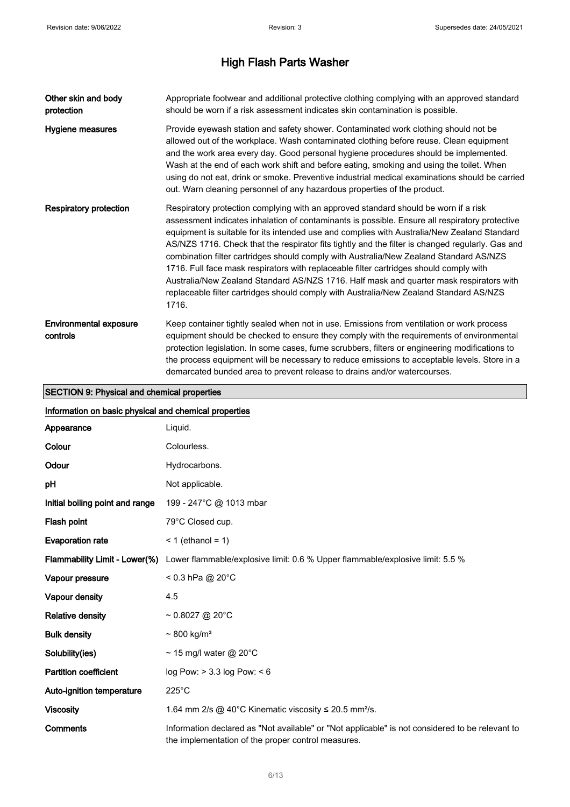| Other skin and body<br>protection         | Appropriate footwear and additional protective clothing complying with an approved standard<br>should be worn if a risk assessment indicates skin contamination is possible.                                                                                                                                                                                                                                                                                                                                                                                                                                                                                                                                                                                               |
|-------------------------------------------|----------------------------------------------------------------------------------------------------------------------------------------------------------------------------------------------------------------------------------------------------------------------------------------------------------------------------------------------------------------------------------------------------------------------------------------------------------------------------------------------------------------------------------------------------------------------------------------------------------------------------------------------------------------------------------------------------------------------------------------------------------------------------|
| Hygiene measures                          | Provide eyewash station and safety shower. Contaminated work clothing should not be<br>allowed out of the workplace. Wash contaminated clothing before reuse. Clean equipment<br>and the work area every day. Good personal hygiene procedures should be implemented.<br>Wash at the end of each work shift and before eating, smoking and using the toilet. When<br>using do not eat, drink or smoke. Preventive industrial medical examinations should be carried<br>out. Warn cleaning personnel of any hazardous properties of the product.                                                                                                                                                                                                                            |
| <b>Respiratory protection</b>             | Respiratory protection complying with an approved standard should be worn if a risk<br>assessment indicates inhalation of contaminants is possible. Ensure all respiratory protective<br>equipment is suitable for its intended use and complies with Australia/New Zealand Standard<br>AS/NZS 1716. Check that the respirator fits tightly and the filter is changed regularly. Gas and<br>combination filter cartridges should comply with Australia/New Zealand Standard AS/NZS<br>1716. Full face mask respirators with replaceable filter cartridges should comply with<br>Australia/New Zealand Standard AS/NZS 1716. Half mask and quarter mask respirators with<br>replaceable filter cartridges should comply with Australia/New Zealand Standard AS/NZS<br>1716. |
| <b>Environmental exposure</b><br>controls | Keep container tightly sealed when not in use. Emissions from ventilation or work process<br>equipment should be checked to ensure they comply with the requirements of environmental<br>protection legislation. In some cases, fume scrubbers, filters or engineering modifications to<br>the process equipment will be necessary to reduce emissions to acceptable levels. Store in a<br>demarcated bunded area to prevent release to drains and/or watercourses.                                                                                                                                                                                                                                                                                                        |

# SECTION 9: Physical and chemical properties

| Information on basic physical and chemical properties |                                                                                                                                                       |
|-------------------------------------------------------|-------------------------------------------------------------------------------------------------------------------------------------------------------|
| Appearance                                            | Liquid.                                                                                                                                               |
| Colour                                                | Colourless.                                                                                                                                           |
| Odour                                                 | Hydrocarbons.                                                                                                                                         |
| рH                                                    | Not applicable.                                                                                                                                       |
| Initial boiling point and range                       | 199 - 247°C @ 1013 mbar                                                                                                                               |
| Flash point                                           | 79°C Closed cup.                                                                                                                                      |
| <b>Evaporation rate</b>                               | $<$ 1 (ethanol = 1)                                                                                                                                   |
| Flammability Limit - Lower(%)                         | Lower flammable/explosive limit: 0.6 % Upper flammable/explosive limit: 5.5 %                                                                         |
| Vapour pressure                                       | $< 0.3$ hPa @ 20°C                                                                                                                                    |
| Vapour density                                        | 4.5                                                                                                                                                   |
| <b>Relative density</b>                               | $\sim 0.8027$ @ 20°C                                                                                                                                  |
| <b>Bulk density</b>                                   | $\sim$ 800 kg/m <sup>3</sup>                                                                                                                          |
| Solubility(ies)                                       | ~ 15 mg/l water @ 20°C                                                                                                                                |
| <b>Partition coefficient</b>                          | log Pow: > 3.3 log Pow: < 6                                                                                                                           |
| Auto-ignition temperature                             | $225^{\circ}$ C                                                                                                                                       |
| <b>Viscosity</b>                                      | 1.64 mm 2/s @ 40°C Kinematic viscosity $\leq$ 20.5 mm <sup>2</sup> /s.                                                                                |
| <b>Comments</b>                                       | Information declared as "Not available" or "Not applicable" is not considered to be relevant to<br>the implementation of the proper control measures. |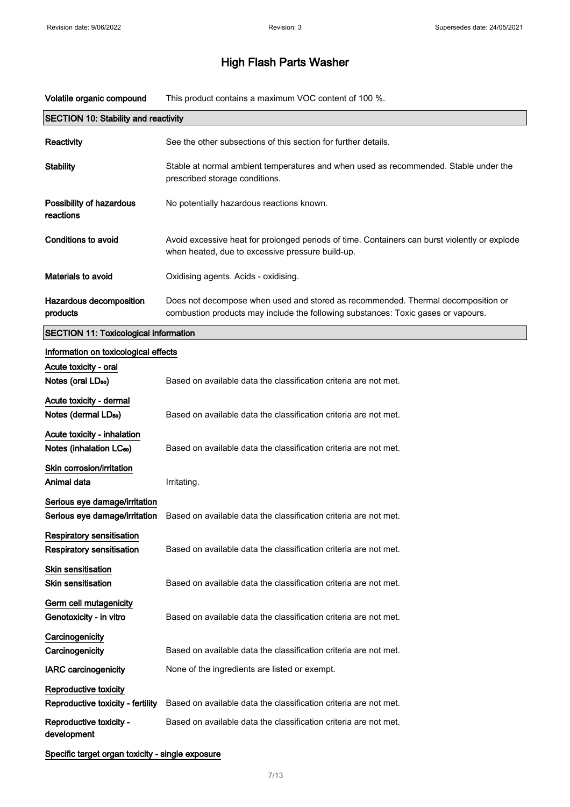Volatile organic compound This product contains a maximum VOC content of 100 %.

| <b>SECTION 10: Stability and reactivity</b>  |                                                                                                                                                                       |
|----------------------------------------------|-----------------------------------------------------------------------------------------------------------------------------------------------------------------------|
| <b>Reactivity</b>                            | See the other subsections of this section for further details.                                                                                                        |
| <b>Stability</b>                             | Stable at normal ambient temperatures and when used as recommended. Stable under the<br>prescribed storage conditions.                                                |
| Possibility of hazardous<br>reactions        | No potentially hazardous reactions known.                                                                                                                             |
| Conditions to avoid                          | Avoid excessive heat for prolonged periods of time. Containers can burst violently or explode<br>when heated, due to excessive pressure build-up.                     |
| Materials to avoid                           | Oxidising agents. Acids - oxidising.                                                                                                                                  |
| Hazardous decomposition<br>products          | Does not decompose when used and stored as recommended. Thermal decomposition or<br>combustion products may include the following substances: Toxic gases or vapours. |
| <b>SECTION 11: Toxicological information</b> |                                                                                                                                                                       |
| Information on toxicological effects         |                                                                                                                                                                       |

# Acute toxicity - oral Notes (oral LD<sub>50</sub>) Based on available data the classification criteria are not met. Acute toxicity - dermal Notes (dermal LD<sub>so</sub>) Based on available data the classification criteria are not met. Acute toxicity - inhalation Notes (inhalation LC<sub>50</sub>) Based on available data the classification criteria are not met. Skin corrosion/irritation Animal data **Irritating** Serious eye damage/irritation Serious eye damage/irritation Based on available data the classification criteria are not met. Respiratory sensitisation Respiratory sensitisation Based on available data the classification criteria are not met. Skin sensitisation **Skin sensitisation** Based on available data the classification criteria are not met. Germ cell mutagenicity Genotoxicity - in vitro Based on available data the classification criteria are not met. **Carcinogenicity** Carcinogenicity **Based on available data the classification criteria are not met.** IARC carcinogenicity None of the ingredients are listed or exempt. Reproductive toxicity Reproductive toxicity - fertility Based on available data the classification criteria are not met. Reproductive toxicity development Based on available data the classification criteria are not met. Specific target organ toxicity - single exposure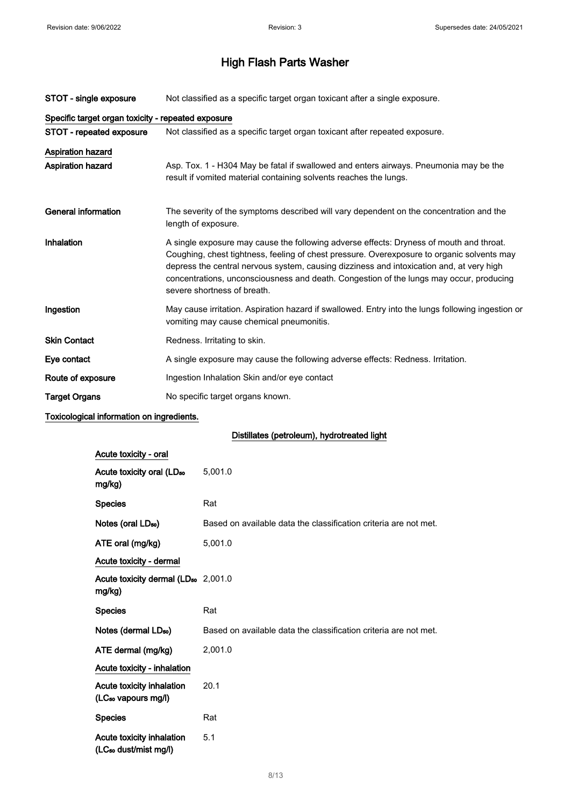| STOT - single exposure                             | Not classified as a specific target organ toxicant after a single exposure.                                                                                                                                                                                                                                                                                                                                 |
|----------------------------------------------------|-------------------------------------------------------------------------------------------------------------------------------------------------------------------------------------------------------------------------------------------------------------------------------------------------------------------------------------------------------------------------------------------------------------|
| Specific target organ toxicity - repeated exposure |                                                                                                                                                                                                                                                                                                                                                                                                             |
| STOT - repeated exposure                           | Not classified as a specific target organ toxicant after repeated exposure.                                                                                                                                                                                                                                                                                                                                 |
| <b>Aspiration hazard</b>                           |                                                                                                                                                                                                                                                                                                                                                                                                             |
| <b>Aspiration hazard</b>                           | Asp. Tox. 1 - H304 May be fatal if swallowed and enters airways. Pneumonia may be the<br>result if vomited material containing solvents reaches the lungs.                                                                                                                                                                                                                                                  |
| <b>General information</b>                         | The severity of the symptoms described will vary dependent on the concentration and the<br>length of exposure.                                                                                                                                                                                                                                                                                              |
| Inhalation                                         | A single exposure may cause the following adverse effects: Dryness of mouth and throat.<br>Coughing, chest tightness, feeling of chest pressure. Overexposure to organic solvents may<br>depress the central nervous system, causing dizziness and intoxication and, at very high<br>concentrations, unconsciousness and death. Congestion of the lungs may occur, producing<br>severe shortness of breath. |
| Ingestion                                          | May cause irritation. Aspiration hazard if swallowed. Entry into the lungs following ingestion or<br>vomiting may cause chemical pneumonitis.                                                                                                                                                                                                                                                               |
| <b>Skin Contact</b>                                | Redness. Irritating to skin.                                                                                                                                                                                                                                                                                                                                                                                |
| Eye contact                                        | A single exposure may cause the following adverse effects: Redness. Irritation.                                                                                                                                                                                                                                                                                                                             |
| Route of exposure                                  | Ingestion Inhalation Skin and/or eye contact                                                                                                                                                                                                                                                                                                                                                                |
| <b>Target Organs</b>                               | No specific target organs known.                                                                                                                                                                                                                                                                                                                                                                            |

### Toxicological information on ingredients.

### Distillates (petroleum), hydrotreated light

| Acute toxicity - oral                                        |                                                                  |
|--------------------------------------------------------------|------------------------------------------------------------------|
| Acute toxicity oral (LD <sub>50</sub><br>mg/kg)              | 5,001.0                                                          |
| <b>Species</b>                                               | Rat                                                              |
| Notes (oral LD <sub>50</sub> )                               | Based on available data the classification criteria are not met. |
| ATE oral (mg/kg)                                             | 5,001.0                                                          |
| Acute toxicity - dermal                                      |                                                                  |
| Acute toxicity dermal (LD <sub>50</sub> 2,001.0<br>mg/kg)    |                                                                  |
| <b>Species</b>                                               | Rat                                                              |
|                                                              |                                                                  |
| Notes (dermal LD <sub>50</sub> )                             | Based on available data the classification criteria are not met. |
| ATE dermal (mg/kg)                                           | 2,001.0                                                          |
| Acute toxicity - inhalation                                  |                                                                  |
| Acute toxicity inhalation<br>(LC <sub>50</sub> vapours mg/l) | 20.1                                                             |
| <b>Species</b>                                               | Rat                                                              |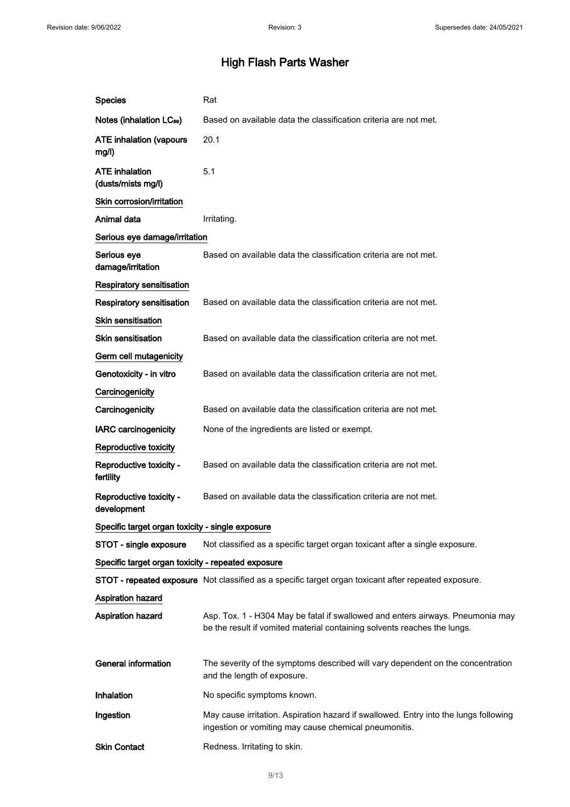| <b>Species</b>                                     | Rat                                                                                                                                                        |
|----------------------------------------------------|------------------------------------------------------------------------------------------------------------------------------------------------------------|
| Notes (inhalation LC <sub>50</sub> )               | Based on available data the classification criteria are not met.                                                                                           |
| <b>ATE inhalation (vapours</b><br>mg/l)            | 20.1                                                                                                                                                       |
| <b>ATE</b> inhalation<br>(dusts/mists mg/l)        | 5.1                                                                                                                                                        |
| Skin corrosion/irritation                          |                                                                                                                                                            |
| Animal data                                        | Irritating.                                                                                                                                                |
| Serious eye damage/irritation                      |                                                                                                                                                            |
| Serious eye<br>damage/irritation                   | Based on available data the classification criteria are not met.                                                                                           |
| Respiratory sensitisation                          |                                                                                                                                                            |
| <b>Respiratory sensitisation</b>                   | Based on available data the classification criteria are not met.                                                                                           |
| <b>Skin sensitisation</b>                          |                                                                                                                                                            |
| Skin sensitisation                                 | Based on available data the classification criteria are not met.                                                                                           |
| Germ cell mutagenicity                             |                                                                                                                                                            |
| Genotoxicity - in vitro                            | Based on available data the classification criteria are not met.                                                                                           |
| Carcinogenicity                                    |                                                                                                                                                            |
| Carcinogenicity                                    | Based on available data the classification criteria are not met.                                                                                           |
| <b>IARC carcinogenicity</b>                        | None of the ingredients are listed or exempt.                                                                                                              |
| Reproductive toxicity                              |                                                                                                                                                            |
| Reproductive toxicity -<br>fertility               | Based on available data the classification criteria are not met.                                                                                           |
| Reproductive toxicity -<br>development             | Based on available data the classification criteria are not met.                                                                                           |
| Specific target organ toxicity - single exposure   |                                                                                                                                                            |
| STOT - single exposure                             | Not classified as a specific target organ toxicant after a single exposure.                                                                                |
| Specific target organ toxicity - repeated exposure |                                                                                                                                                            |
|                                                    | STOT - repeated exposure Not classified as a specific target organ toxicant after repeated exposure.                                                       |
| <b>Aspiration hazard</b>                           |                                                                                                                                                            |
| <b>Aspiration hazard</b>                           | Asp. Tox. 1 - H304 May be fatal if swallowed and enters airways. Pneumonia may<br>be the result if vomited material containing solvents reaches the lungs. |
| <b>General information</b>                         | The severity of the symptoms described will vary dependent on the concentration<br>and the length of exposure.                                             |
| Inhalation                                         | No specific symptoms known.                                                                                                                                |
| Ingestion                                          | May cause irritation. Aspiration hazard if swallowed. Entry into the lungs following<br>ingestion or vomiting may cause chemical pneumonitis.              |
| <b>Skin Contact</b>                                | Redness. Irritating to skin.                                                                                                                               |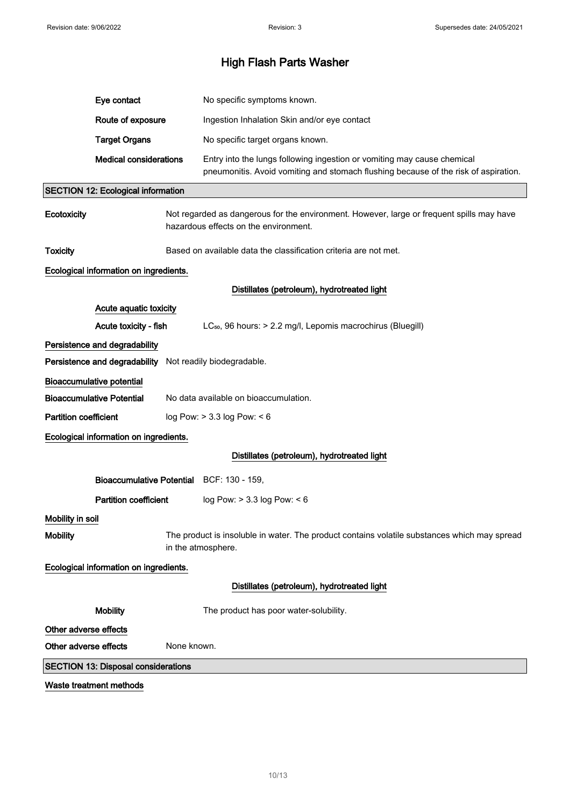|                       | Eye contact                                                                                                                        |             | No specific symptoms known.                                                                                                                                    |
|-----------------------|------------------------------------------------------------------------------------------------------------------------------------|-------------|----------------------------------------------------------------------------------------------------------------------------------------------------------------|
|                       | Route of exposure                                                                                                                  |             | Ingestion Inhalation Skin and/or eye contact                                                                                                                   |
|                       | <b>Target Organs</b>                                                                                                               |             | No specific target organs known.                                                                                                                               |
|                       | <b>Medical considerations</b>                                                                                                      |             | Entry into the lungs following ingestion or vomiting may cause chemical<br>pneumonitis. Avoid vomiting and stomach flushing because of the risk of aspiration. |
|                       | <b>SECTION 12: Ecological information</b>                                                                                          |             |                                                                                                                                                                |
| <b>Ecotoxicity</b>    | Not regarded as dangerous for the environment. However, large or frequent spills may have<br>hazardous effects on the environment. |             |                                                                                                                                                                |
| <b>Toxicity</b>       | Based on available data the classification criteria are not met.                                                                   |             |                                                                                                                                                                |
|                       | Ecological information on ingredients.                                                                                             |             |                                                                                                                                                                |
|                       |                                                                                                                                    |             | Distillates (petroleum), hydrotreated light                                                                                                                    |
|                       | Acute aquatic toxicity                                                                                                             |             |                                                                                                                                                                |
|                       | Acute toxicity - fish                                                                                                              |             | LC <sub>50</sub> , 96 hours: > 2.2 mg/l, Lepomis macrochirus (Bluegill)                                                                                        |
|                       | Persistence and degradability                                                                                                      |             |                                                                                                                                                                |
|                       | Persistence and degradability Not readily biodegradable.                                                                           |             |                                                                                                                                                                |
|                       | <b>Bioaccumulative potential</b>                                                                                                   |             |                                                                                                                                                                |
|                       | <b>Bioaccumulative Potential</b>                                                                                                   |             | No data available on bioaccumulation.                                                                                                                          |
| Partition coefficient |                                                                                                                                    |             | log Pow: $> 3.3$ log Pow: $< 6$                                                                                                                                |
|                       | Ecological information on ingredients.                                                                                             |             |                                                                                                                                                                |
|                       |                                                                                                                                    |             | Distillates (petroleum), hydrotreated light                                                                                                                    |
|                       | Bioaccumulative Potential BCF: 130 - 159,                                                                                          |             |                                                                                                                                                                |
|                       | <b>Partition coefficient</b>                                                                                                       |             | log Pow: > 3.3 log Pow: < 6                                                                                                                                    |
| Mobility in soil      |                                                                                                                                    |             |                                                                                                                                                                |
| <b>Mobility</b>       |                                                                                                                                    |             | The product is insoluble in water. The product contains volatile substances which may spread<br>in the atmosphere.                                             |
|                       | Ecological information on ingredients.                                                                                             |             |                                                                                                                                                                |
|                       |                                                                                                                                    |             | Distillates (petroleum), hydrotreated light                                                                                                                    |
|                       | <b>Mobility</b>                                                                                                                    |             | The product has poor water-solubility.                                                                                                                         |
| Other adverse effects |                                                                                                                                    |             |                                                                                                                                                                |
| Other adverse effects |                                                                                                                                    | None known. |                                                                                                                                                                |
|                       | <b>SECTION 13: Disposal considerations</b>                                                                                         |             |                                                                                                                                                                |
|                       | Waste treatment methods                                                                                                            |             |                                                                                                                                                                |

10/ 13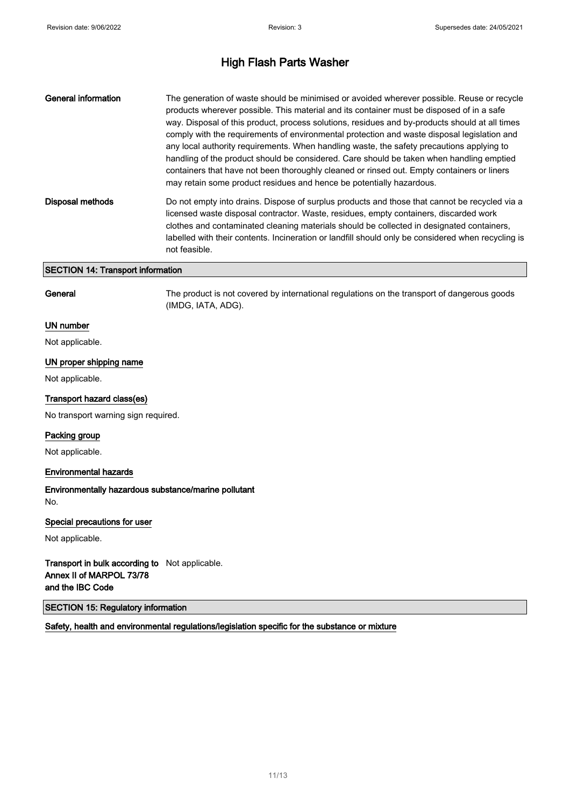| General information                      | The generation of waste should be minimised or avoided wherever possible. Reuse or recycle<br>products wherever possible. This material and its container must be disposed of in a safe<br>way. Disposal of this product, process solutions, residues and by-products should at all times<br>comply with the requirements of environmental protection and waste disposal legislation and<br>any local authority requirements. When handling waste, the safety precautions applying to<br>handling of the product should be considered. Care should be taken when handling emptied<br>containers that have not been thoroughly cleaned or rinsed out. Empty containers or liners<br>may retain some product residues and hence be potentially hazardous. |  |  |  |
|------------------------------------------|---------------------------------------------------------------------------------------------------------------------------------------------------------------------------------------------------------------------------------------------------------------------------------------------------------------------------------------------------------------------------------------------------------------------------------------------------------------------------------------------------------------------------------------------------------------------------------------------------------------------------------------------------------------------------------------------------------------------------------------------------------|--|--|--|
| <b>Disposal methods</b>                  | Do not empty into drains. Dispose of surplus products and those that cannot be recycled via a<br>licensed waste disposal contractor. Waste, residues, empty containers, discarded work<br>clothes and contaminated cleaning materials should be collected in designated containers,<br>labelled with their contents. Incineration or landfill should only be considered when recycling is<br>not feasible.                                                                                                                                                                                                                                                                                                                                              |  |  |  |
| <b>SECTION 14: Transport information</b> |                                                                                                                                                                                                                                                                                                                                                                                                                                                                                                                                                                                                                                                                                                                                                         |  |  |  |

General The product is not covered by international regulations on the transport of dangerous goods (IMDG, IATA, ADG).

#### UN number

Not applicable.

#### UN proper shipping name

Not applicable.

#### Transport hazard class(es)

No transport warning sign required.

#### Packing group

Not applicable.

#### Environmental hazards

Environmentally hazardous substance/marine pollutant No.

#### Special precautions for user

Not applicable.

Transport in bulk according to Not applicable. Annex II of MARPOL 73/78 and the IBC Code

SECTION 15: Regulatory information

Safety, health and environmental regulations/legislation specific for the substance or mixture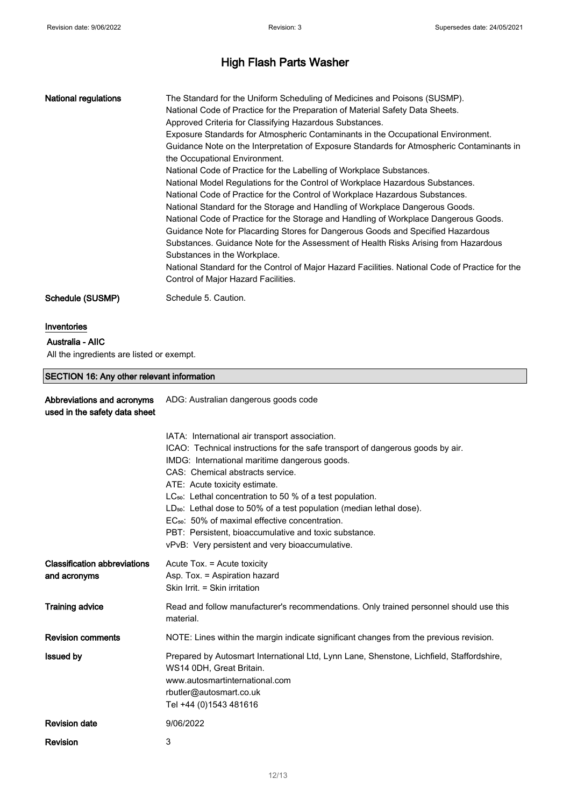| National regulations | The Standard for the Uniform Scheduling of Medicines and Poisons (SUSMP).<br>National Code of Practice for the Preparation of Material Safety Data Sheets.<br>Approved Criteria for Classifying Hazardous Substances.<br>Exposure Standards for Atmospheric Contaminants in the Occupational Environment.<br>Guidance Note on the Interpretation of Exposure Standards for Atmospheric Contaminants in<br>the Occupational Environment.<br>National Code of Practice for the Labelling of Workplace Substances.<br>National Model Regulations for the Control of Workplace Hazardous Substances.<br>National Code of Practice for the Control of Workplace Hazardous Substances.<br>National Standard for the Storage and Handling of Workplace Dangerous Goods.<br>National Code of Practice for the Storage and Handling of Workplace Dangerous Goods.<br>Guidance Note for Placarding Stores for Dangerous Goods and Specified Hazardous<br>Substances. Guidance Note for the Assessment of Health Risks Arising from Hazardous<br>Substances in the Workplace. |
|----------------------|--------------------------------------------------------------------------------------------------------------------------------------------------------------------------------------------------------------------------------------------------------------------------------------------------------------------------------------------------------------------------------------------------------------------------------------------------------------------------------------------------------------------------------------------------------------------------------------------------------------------------------------------------------------------------------------------------------------------------------------------------------------------------------------------------------------------------------------------------------------------------------------------------------------------------------------------------------------------------------------------------------------------------------------------------------------------|
|                      | National Standard for the Control of Major Hazard Facilities. National Code of Practice for the<br>Control of Major Hazard Facilities.                                                                                                                                                                                                                                                                                                                                                                                                                                                                                                                                                                                                                                                                                                                                                                                                                                                                                                                             |
| Schedule (SUSMP)     | Schedule 5. Caution.                                                                                                                                                                                                                                                                                                                                                                                                                                                                                                                                                                                                                                                                                                                                                                                                                                                                                                                                                                                                                                               |

#### Inventories

#### Australia - AIIC

All the ingredients are listed or exempt.

# SECTION 16: Any other relevant information

| Abbreviations and acronyms<br>used in the safety data sheet | ADG: Australian dangerous goods code                                                                                                                                                                                                                                                                                                                                                                                                                                                                                                                                                          |  |
|-------------------------------------------------------------|-----------------------------------------------------------------------------------------------------------------------------------------------------------------------------------------------------------------------------------------------------------------------------------------------------------------------------------------------------------------------------------------------------------------------------------------------------------------------------------------------------------------------------------------------------------------------------------------------|--|
|                                                             | IATA: International air transport association.<br>ICAO: Technical instructions for the safe transport of dangerous goods by air.<br>IMDG: International maritime dangerous goods.<br>CAS: Chemical abstracts service.<br>ATE: Acute toxicity estimate.<br>LC <sub>50</sub> : Lethal concentration to 50 % of a test population.<br>LD <sub>50</sub> : Lethal dose to 50% of a test population (median lethal dose).<br>EC <sub>50</sub> : 50% of maximal effective concentration.<br>PBT: Persistent, bioaccumulative and toxic substance.<br>vPvB: Very persistent and very bioaccumulative. |  |
| <b>Classification abbreviations</b><br>and acronyms         | Acute Tox. = Acute toxicity<br>Asp. Tox. = Aspiration hazard<br>Skin Irrit. = Skin irritation                                                                                                                                                                                                                                                                                                                                                                                                                                                                                                 |  |
| <b>Training advice</b>                                      | Read and follow manufacturer's recommendations. Only trained personnel should use this<br>material.                                                                                                                                                                                                                                                                                                                                                                                                                                                                                           |  |
| <b>Revision comments</b>                                    | NOTE: Lines within the margin indicate significant changes from the previous revision.                                                                                                                                                                                                                                                                                                                                                                                                                                                                                                        |  |
| <b>Issued by</b>                                            | Prepared by Autosmart International Ltd, Lynn Lane, Shenstone, Lichfield, Staffordshire,<br>WS14 0DH, Great Britain.<br>www.autosmartinternational.com<br>rbutler@autosmart.co.uk<br>Tel +44 (0)1543 481616                                                                                                                                                                                                                                                                                                                                                                                   |  |
| <b>Revision date</b>                                        | 9/06/2022                                                                                                                                                                                                                                                                                                                                                                                                                                                                                                                                                                                     |  |
| <b>Revision</b>                                             | 3                                                                                                                                                                                                                                                                                                                                                                                                                                                                                                                                                                                             |  |